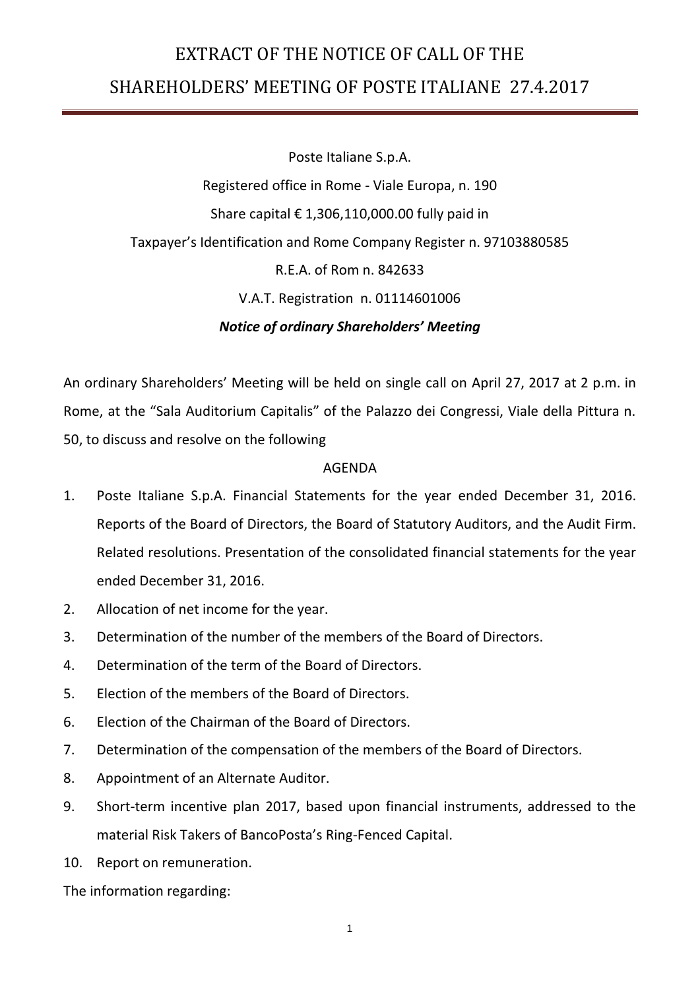## EXTRACT OF THE NOTICE OF CALL OF THE SHAREHOLDERS' MEETING OF POSTE ITALIANE 27.4.2017

Poste Italiane S.p.A. Registered office in Rome - Viale Europa, n. 190 Share capital  $\epsilon$  1,306,110,000.00 fully paid in Taxpayer's Identification and Rome Company Register n. 97103880585 R.E.A. of Rom n. 842633 V.A.T. Registration n. 01114601006 *Notice of ordinary Shareholders' Meeting*

An ordinary Shareholders' Meeting will be held on single call on April 27, 2017 at 2 p.m. in Rome, at the "Sala Auditorium Capitalis" of the Palazzo dei Congressi, Viale della Pittura n. 50, to discuss and resolve on the following

## AGENDA

- 1. Poste Italiane S.p.A. Financial Statements for the year ended December 31, 2016. Reports of the Board of Directors, the Board of Statutory Auditors, and the Audit Firm. Related resolutions. Presentation of the consolidated financial statements for the year ended December 31, 2016.
- 2. Allocation of net income for the year.
- 3. Determination of the number of the members of the Board of Directors.
- 4. Determination of the term of the Board of Directors.
- 5. Election of the members of the Board of Directors.
- 6. Election of the Chairman of the Board of Directors.
- 7. Determination of the compensation of the members of the Board of Directors.
- 8. Appointment of an Alternate Auditor.
- 9. Short-term incentive plan 2017, based upon financial instruments, addressed to the material Risk Takers of BancoPosta's Ring-Fenced Capital.
- 10. Report on remuneration.

The information regarding: